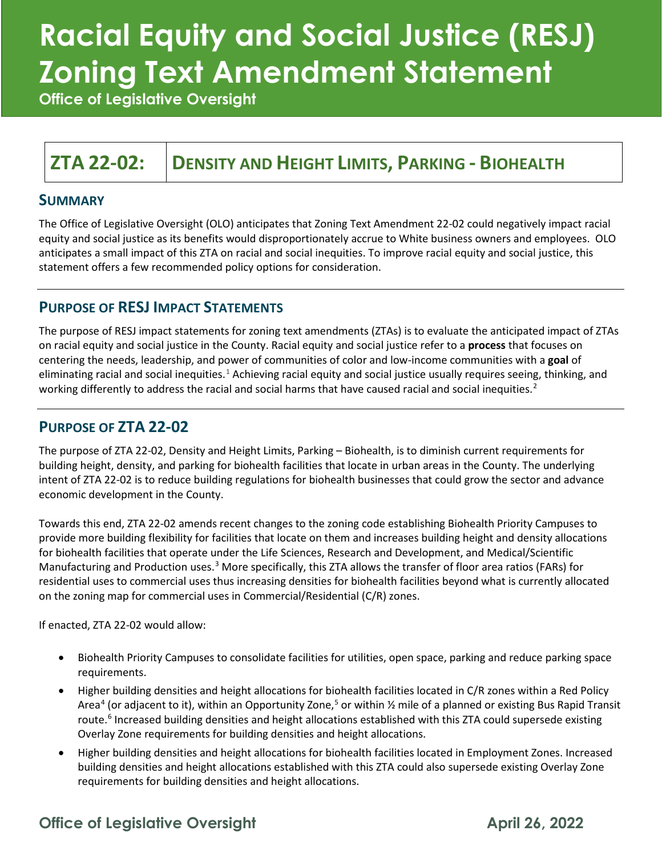# **Racial Equity and Social Justice (RESJ) Zoning Text Amendment Statement**

**Office of Legislative Oversight**

### **ZTA 22-02: DENSITY AND HEIGHT LIMITS, PARKING - BIOHEALTH**

#### **SUMMARY**

The Office of Legislative Oversight (OLO) anticipates that Zoning Text Amendment 22-02 could negatively impact racial equity and social justice as its benefits would disproportionately accrue to White business owners and employees. OLO anticipates a small impact of this ZTA on racial and social inequities. To improve racial equity and social justice, this statement offers a few recommended policy options for consideration.

#### **PURPOSE OF RESJ IMPACT STATEMENTS**

The purpose of RESJ impact statements for zoning text amendments (ZTAs) is to evaluate the anticipated impact of ZTAs on racial equity and social justice in the County. Racial equity and social justice refer to a **process** that focuses on centering the needs, leadership, and power of communities of color and low-income communities with a **goal** of eliminating racial and social inequities.<sup>[1](#page-5-0)</sup> Achieving racial equity and social justice usually requires seeing, thinking, and working differently to address the racial and social harms that have caused racial and social inequities.<sup>[2](#page-5-1)</sup>

#### **PURPOSE OF ZTA 22-02**

The purpose of ZTA 22-02, Density and Height Limits, Parking – Biohealth, is to diminish current requirements for building height, density, and parking for biohealth facilities that locate in urban areas in the County. The underlying intent of ZTA 22-02 is to reduce building regulations for biohealth businesses that could grow the sector and advance economic development in the County.

Towards this end, ZTA 22-02 amends recent changes to the zoning code establishing Biohealth Priority Campuses to provide more building flexibility for facilities that locate on them and increases building height and density allocations for biohealth facilities that operate under the Life Sciences, Research and Development, and Medical/Scientific Manufacturing and Production uses.<sup>[3](#page-5-2)</sup> More specifically, this ZTA allows the transfer of floor area ratios (FARs) for residential uses to commercial uses thus increasing densities for biohealth facilities beyond what is currently allocated on the zoning map for commercial uses in Commercial/Residential (C/R) zones.

If enacted, ZTA 22-02 would allow:

- Biohealth Priority Campuses to consolidate facilities for utilities, open space, parking and reduce parking space requirements.
- Higher building densities and height allocations for biohealth facilities located in C/R zones within a Red Policy Area<sup>4</sup> (or adjacent to it), within an Opportunity Zone,<sup>[5](#page-5-4)</sup> or within  $\frac{1}{2}$  mile of a planned or existing Bus Rapid Transit route. [6](#page-5-5) Increased building densities and height allocations established with this ZTA could supersede existing Overlay Zone requirements for building densities and height allocations.
- Higher building densities and height allocations for biohealth facilities located in Employment Zones. Increased building densities and height allocations established with this ZTA could also supersede existing Overlay Zone requirements for building densities and height allocations.

### **Office of Legislative Oversight April 26, 2022**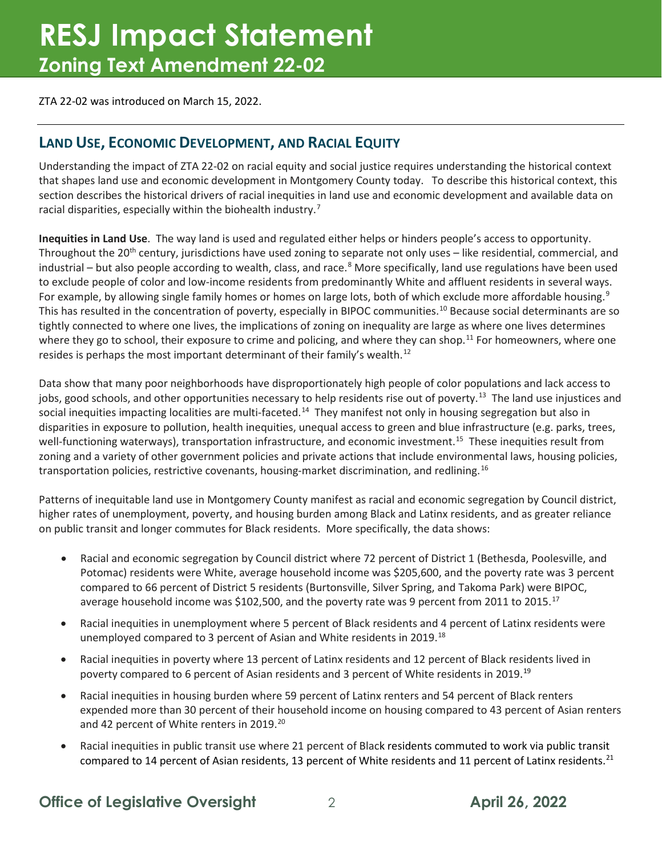ZTA 22-02 was introduced on March 15, 2022.

#### **LAND USE, ECONOMIC DEVELOPMENT, AND RACIAL EQUITY**

Understanding the impact of ZTA 22-02 on racial equity and social justice requires understanding the historical context that shapes land use and economic development in Montgomery County today. To describe this historical context, this section describes the historical drivers of racial inequities in land use and economic development and available data on racial disparities, especially within the biohealth industry.<sup>[7](#page-5-6)</sup>

**Inequities in Land Use**. The way land is used and regulated either helps or hinders people's access to opportunity. Throughout the 20<sup>th</sup> century, jurisdictions have used zoning to separate not only uses – like residential, commercial, and industrial – but also people according to wealth, class, and race. $8$  More specifically, land use regulations have been used to exclude people of color and low-income residents from predominantly White and affluent residents in several ways. For example, by allowing single family homes or homes on large lots, both of which exclude more affordable housing.<sup>[9](#page-5-8)</sup> This has resulted in the concentration of poverty, especially in BIPOC communities.[10](#page-5-9) Because social determinants are so tightly connected to where one lives, the implications of zoning on inequality are large as where one lives determines where they go to school, their exposure to crime and policing, and where they can shop.<sup>[11](#page-5-10)</sup> For homeowners, where one resides is perhaps the most important determinant of their family's wealth.<sup>[12](#page-5-11)</sup>

Data show that many poor neighborhoods have disproportionately high people of color populations and lack access to jobs, good schools, and other opportunities necessary to help residents rise out of poverty.<sup>13</sup> The land use injustices and social inequities impacting localities are multi-faceted.<sup>[14](#page-5-13)</sup> They manifest not only in housing segregation but also in disparities in exposure to pollution, health inequities, unequal access to green and blue infrastructure (e.g. parks, trees, well-functioning waterways), transportation infrastructure, and economic investment.<sup>15</sup> These inequities result from zoning and a variety of other government policies and private actions that include environmental laws, housing policies, transportation policies, restrictive covenants, housing-market discrimination, and redlining.<sup>[16](#page-5-15)</sup>

Patterns of inequitable land use in Montgomery County manifest as racial and economic segregation by Council district, higher rates of unemployment, poverty, and housing burden among Black and Latinx residents, and as greater reliance on public transit and longer commutes for Black residents. More specifically, the data shows:

- Racial and economic segregation by Council district where 72 percent of District 1 (Bethesda, Poolesville, and Potomac) residents were White, average household income was \$205,600, and the poverty rate was 3 percent compared to 66 percent of District 5 residents (Burtonsville, Silver Spring, and Takoma Park) were BIPOC, average household income was \$102,500, and the poverty rate was 9 percent from 2011 to 2015.<sup>[17](#page-5-16)</sup>
- Racial inequities in unemployment where 5 percent of Black residents and 4 percent of Latinx residents were unemployed compared to 3 percent of Asian and White residents in 2019.<sup>[18](#page-5-17)</sup>
- Racial inequities in poverty where 13 percent of Latinx residents and 12 percent of Black residents lived in poverty compared to 6 percent of Asian residents and 3 percent of White residents in 20[19](#page-5-18).<sup>19</sup>
- Racial inequities in housing burden where 59 percent of Latinx renters and 54 percent of Black renters expended more than 30 percent of their household income on housing compared to 43 percent of Asian renters and 42 percent of White renters in [20](#page-6-0)19.<sup>20</sup>
- Racial inequities in public transit use where 21 percent of Black residents commuted to work via public transit compared to 14 percent of Asian residents, 13 percent of White residents and 11 percent of Latinx residents.<sup>[21](#page-6-1)</sup>

#### **Office of Legislative Oversight** 2 **April 26, 2022**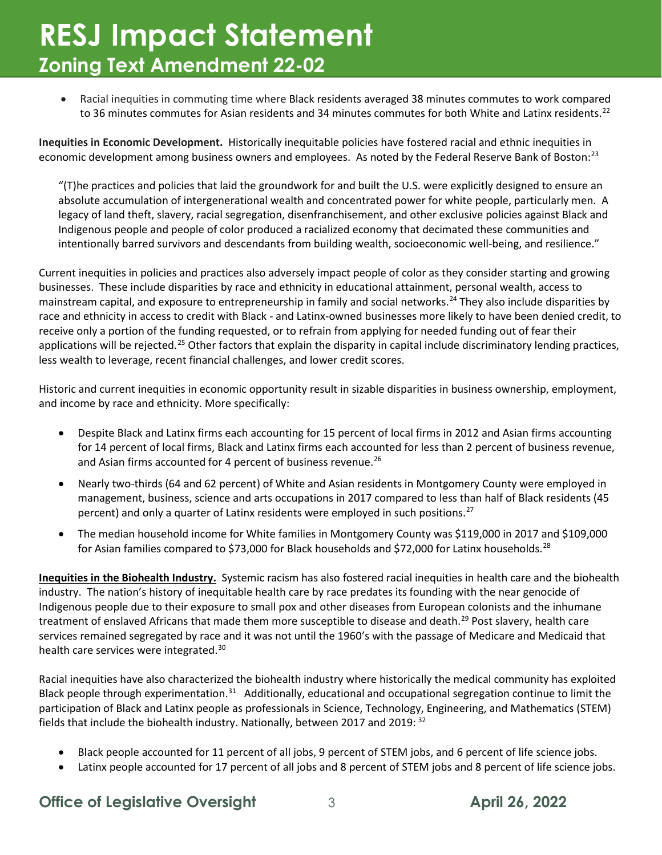• Racial inequities in commuting time where Black residents averaged 38 minutes commutes to work compared to 36 minutes commutes for Asian residents and 34 minutes commutes for both White and Latinx residents.<sup>[22](#page-6-2)</sup>

**Inequities in Economic Development.** Historically inequitable policies have fostered racial and ethnic inequities in economic development among business owners and employees. As noted by the Federal Reserve Bank of Boston:<sup>[23](#page-6-3)</sup>

"(T)he practices and policies that laid the groundwork for and built the U.S. were explicitly designed to ensure an absolute accumulation of intergenerational wealth and concentrated power for white people, particularly men. A legacy of land theft, slavery, racial segregation, disenfranchisement, and other exclusive policies against Black and Indigenous people and people of color produced a racialized economy that decimated these communities and intentionally barred survivors and descendants from building wealth, socioeconomic well-being, and resilience."

Current inequities in policies and practices also adversely impact people of color as they consider starting and growing businesses. These include disparities by race and ethnicity in educational attainment, personal wealth, access to mainstream capital, and exposure to entrepreneurship in family and social networks.<sup>[24](#page-6-4)</sup> They also include disparities by race and ethnicity in access to credit with Black - and Latinx-owned businesses more likely to have been denied credit, to receive only a portion of the funding requested, or to refrain from applying for needed funding out of fear their applications will be rejected.<sup>[25](#page-6-5)</sup> Other factors that explain the disparity in capital include discriminatory lending practices, less wealth to leverage, recent financial challenges, and lower credit scores.

Historic and current inequities in economic opportunity result in sizable disparities in business ownership, employment, and income by race and ethnicity. More specifically:

- Despite Black and Latinx firms each accounting for 15 percent of local firms in 2012 and Asian firms accounting for 14 percent of local firms, Black and Latinx firms each accounted for less than 2 percent of business revenue, and Asian firms accounted for 4 percent of business revenue.<sup>[26](#page-6-6)</sup>
- Nearly two-thirds (64 and 62 percent) of White and Asian residents in Montgomery County were employed in management, business, science and arts occupations in 2017 compared to less than half of Black residents (45 percent) and only a quarter of Latinx residents were employed in such positions.<sup>27</sup>
- The median household income for White families in Montgomery County was \$119,000 in 2017 and \$109,000 for Asian families compared to \$73,000 for Black households and \$72,000 for Latinx households.<sup>[28](#page-6-8)</sup>

**Inequities in the Biohealth Industry.** Systemic racism has also fostered racial inequities in health care and the biohealth industry. The nation's history of inequitable health care by race predates its founding with the near genocide of Indigenous people due to their exposure to small pox and other diseases from European colonists and the inhumane treatment of enslaved Africans that made them more susceptible to disease and death.<sup>[29](#page-6-9)</sup> Post slavery, health care services remained segregated by race and it was not until the 1960's with the passage of Medicare and Medicaid that health care services were integrated.[30](#page-6-10)

Racial inequities have also characterized the biohealth industry where historically the medical community has exploited Black people through experimentation. $31$  Additionally, educational and occupational segregation continue to limit the participation of Black and Latinx people as professionals in Science, Technology, Engineering, and Mathematics (STEM) fields that include the biohealth industry. Nationally, between 2017 and 2019: <sup>32</sup>

- Black people accounted for 11 percent of all jobs, 9 percent of STEM jobs, and 6 percent of life science jobs.
- Latinx people accounted for 17 percent of all jobs and 8 percent of STEM jobs and 8 percent of life science jobs.

#### **Office of Legislative Oversight**  $\frac{3}{2}$  **April 26, 2022**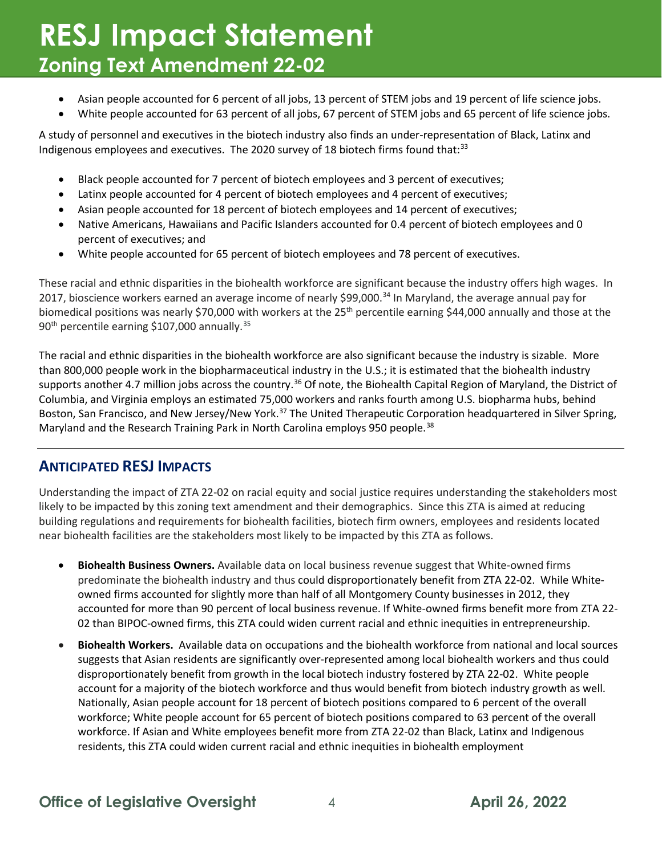- Asian people accounted for 6 percent of all jobs, 13 percent of STEM jobs and 19 percent of life science jobs.
- White people accounted for 63 percent of all jobs, 67 percent of STEM jobs and 65 percent of life science jobs.

A study of personnel and executives in the biotech industry also finds an under-representation of Black, Latinx and Indigenous employees and executives. The 2020 survey of 18 biotech firms found that: $33$ 

- Black people accounted for 7 percent of biotech employees and 3 percent of executives;
- Latinx people accounted for 4 percent of biotech employees and 4 percent of executives;
- Asian people accounted for 18 percent of biotech employees and 14 percent of executives;
- Native Americans, Hawaiians and Pacific Islanders accounted for 0.4 percent of biotech employees and 0 percent of executives; and
- White people accounted for 65 percent of biotech employees and 78 percent of executives.

These racial and ethnic disparities in the biohealth workforce are significant because the industry offers high wages. In 2017, bioscience workers earned an average income of nearly \$99,000.<sup>[34](#page-6-14)</sup> In Maryland, the average annual pay for biomedical positions was nearly \$70,000 with workers at the  $25<sup>th</sup>$  percentile earning \$44,000 annually and those at the 90<sup>th</sup> percentile earning \$107,000 annually.<sup>[35](#page-6-15)</sup>

The racial and ethnic disparities in the biohealth workforce are also significant because the industry is sizable. More than 800,000 people work in the biopharmaceutical industry in the U.S.; it is estimated that the biohealth industry supports another 4.7 million jobs across the country.<sup>[36](#page-6-16)</sup> Of note, the Biohealth Capital Region of Maryland, the District of Columbia, and Virginia employs an estimated 75,000 workers and ranks fourth among U.S. biopharma hubs, behind Boston, San Francisco, and New Jersey/New York.<sup>37</sup> The United Therapeutic Corporation headquartered in Silver Spring, Maryland and the Research Training Park in North Carolina employs 950 people.<sup>[38](#page-6-18)</sup>

#### **ANTICIPATED RESJ IMPACTS**

Understanding the impact of ZTA 22-02 on racial equity and social justice requires understanding the stakeholders most likely to be impacted by this zoning text amendment and their demographics. Since this ZTA is aimed at reducing building regulations and requirements for biohealth facilities, biotech firm owners, employees and residents located near biohealth facilities are the stakeholders most likely to be impacted by this ZTA as follows.

- **Biohealth Business Owners.** Available data on local business revenue suggest that White-owned firms predominate the biohealth industry and thus could disproportionately benefit from ZTA 22-02. While Whiteowned firms accounted for slightly more than half of all Montgomery County businesses in 2012, they accounted for more than 90 percent of local business revenue. If White-owned firms benefit more from ZTA 22- 02 than BIPOC-owned firms, this ZTA could widen current racial and ethnic inequities in entrepreneurship.
- **Biohealth Workers.**Available data on occupations and the biohealth workforce from national and local sources suggests that Asian residents are significantly over-represented among local biohealth workers and thus could disproportionately benefit from growth in the local biotech industry fostered by ZTA 22-02. White people account for a majority of the biotech workforce and thus would benefit from biotech industry growth as well. Nationally, Asian people account for 18 percent of biotech positions compared to 6 percent of the overall workforce; White people account for 65 percent of biotech positions compared to 63 percent of the overall workforce. If Asian and White employees benefit more from ZTA 22-02 than Black, Latinx and Indigenous residents, this ZTA could widen current racial and ethnic inequities in biohealth employment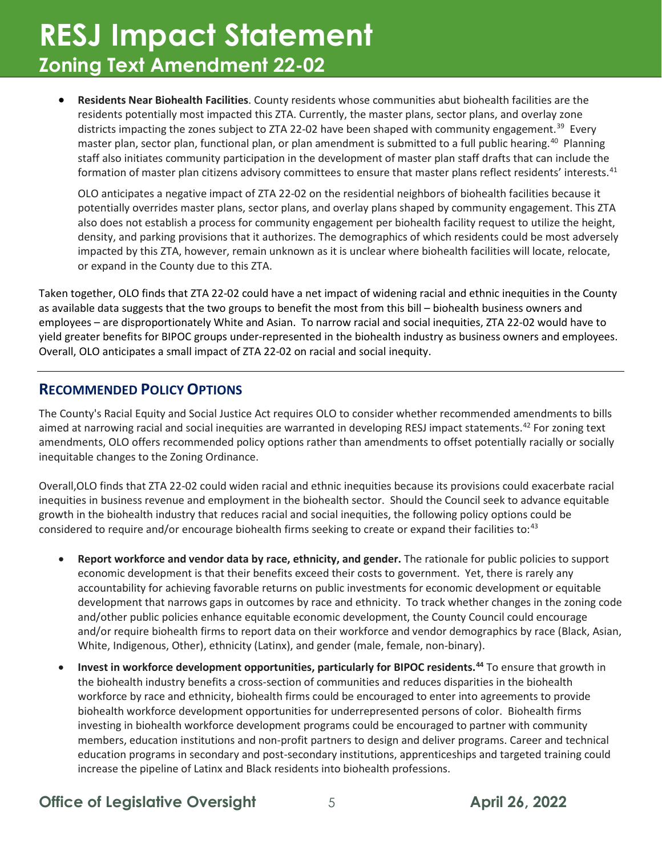• **Residents Near Biohealth Facilities**. County residents whose communities abut biohealth facilities are the residents potentially most impacted this ZTA. Currently, the master plans, sector plans, and overlay zone districts impacting the zones subject to ZTA 22-02 have been shaped with community engagement.<sup>[39](#page-6-19)</sup> Every master plan, sector plan, functional plan, or plan amendment is submitted to a full public hearing. [40](#page-6-20) Planning staff also initiates community participation in the development of master plan staff drafts that can include the formation of master plan citizens advisory committees to ensure that master plans reflect residents' interests.<sup>[41](#page-6-21)</sup>

OLO anticipates a negative impact of ZTA 22-02 on the residential neighbors of biohealth facilities because it potentially overrides master plans, sector plans, and overlay plans shaped by community engagement. This ZTA also does not establish a process for community engagement per biohealth facility request to utilize the height, density, and parking provisions that it authorizes. The demographics of which residents could be most adversely impacted by this ZTA, however, remain unknown as it is unclear where biohealth facilities will locate, relocate, or expand in the County due to this ZTA.

Taken together, OLO finds that ZTA 22-02 could have a net impact of widening racial and ethnic inequities in the County as available data suggests that the two groups to benefit the most from this bill – biohealth business owners and employees – are disproportionately White and Asian. To narrow racial and social inequities, ZTA 22-02 would have to yield greater benefits for BIPOC groups under-represented in the biohealth industry as business owners and employees. Overall, OLO anticipates a small impact of ZTA 22-02 on racial and social inequity.

#### **RECOMMENDED POLICY OPTIONS**

The County's Racial Equity and Social Justice Act requires OLO to consider whether recommended amendments to bills aimed at narrowing racial and social inequities are warranted in developing RESJ impact statements.<sup>[42](#page-6-22)</sup> For zoning text amendments, OLO offers recommended policy options rather than amendments to offset potentially racially or socially inequitable changes to the Zoning Ordinance.

Overall,OLO finds that ZTA 22-02 could widen racial and ethnic inequities because its provisions could exacerbate racial inequities in business revenue and employment in the biohealth sector. Should the Council seek to advance equitable growth in the biohealth industry that reduces racial and social inequities, the following policy options could be considered to require and/or encourage biohealth firms seeking to create or expand their facilities to:<sup>43</sup>

- **Report workforce and vendor data by race, ethnicity, and gender.** The rationale for public policies to support economic development is that their benefits exceed their costs to government. Yet, there is rarely any accountability for achieving favorable returns on public investments for economic development or equitable development that narrows gaps in outcomes by race and ethnicity. To track whether changes in the zoning code and/other public policies enhance equitable economic development, the County Council could encourage and/or require biohealth firms to report data on their workforce and vendor demographics by race (Black, Asian, White, Indigenous, Other), ethnicity (Latinx), and gender (male, female, non-binary).
- **Invest in workforce development opportunities, particularly for BIPOC residents.[44](#page-6-24)** To ensure that growth in the biohealth industry benefits a cross-section of communities and reduces disparities in the biohealth workforce by race and ethnicity, biohealth firms could be encouraged to enter into agreements to provide biohealth workforce development opportunities for underrepresented persons of color. Biohealth firms investing in biohealth workforce development programs could be encouraged to partner with community members, education institutions and non-profit partners to design and deliver programs. Career and technical education programs in secondary and post-secondary institutions, apprenticeships and targeted training could increase the pipeline of Latinx and Black residents into biohealth professions.

**Office of Legislative Oversight** 5 5 April 26, 2022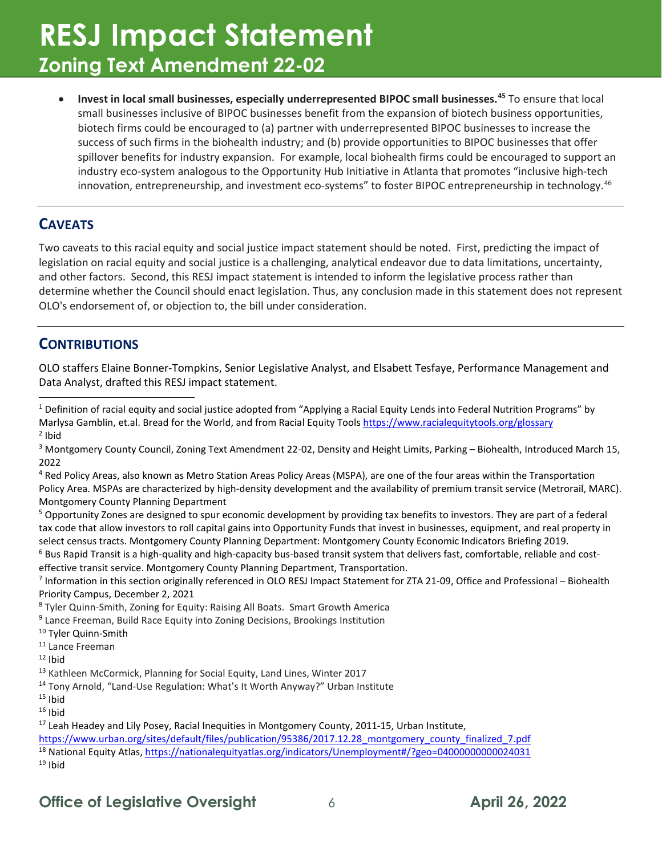• **Invest in local small businesses, especially underrepresented BIPOC small businesses.[45](#page-6-25)** To ensure that local small businesses inclusive of BIPOC businesses benefit from the expansion of biotech business opportunities, biotech firms could be encouraged to (a) partner with underrepresented BIPOC businesses to increase the success of such firms in the biohealth industry; and (b) provide opportunities to BIPOC businesses that offer spillover benefits for industry expansion. For example, local biohealth firms could be encouraged to support an industry eco-system analogous to the Opportunity Hub Initiative in Atlanta that promotes "inclusive high-tech innovation, entrepreneurship, and investment eco-systems" to foster BIPOC entrepreneurship in technology.<sup>[46](#page-6-26)</sup>

#### **CAVEATS**

Two caveats to this racial equity and social justice impact statement should be noted. First, predicting the impact of legislation on racial equity and social justice is a challenging, analytical endeavor due to data limitations, uncertainty, and other factors. Second, this RESJ impact statement is intended to inform the legislative process rather than determine whether the Council should enact legislation. Thus, any conclusion made in this statement does not represent OLO's endorsement of, or objection to, the bill under consideration.

#### **CONTRIBUTIONS**

OLO staffers Elaine Bonner-Tompkins, Senior Legislative Analyst, and Elsabett Tesfaye, Performance Management and Data Analyst, drafted this RESJ impact statement.

<span id="page-5-5"></span>effective transit service. Montgomery County Planning Department, Transportation.

<span id="page-5-6"></span> $7$  Information in this section originally referenced in OLO RESJ Impact Statement for ZTA 21-09, Office and Professional – Biohealth Priority Campus, December 2, 2021

<span id="page-5-0"></span><sup>&</sup>lt;sup>1</sup> Definition of racial equity and social justice adopted from "Applying a Racial Equity Lends into Federal Nutrition Programs" by Marlysa Gamblin, et.al. Bread for the World, and from Racial Equity Tools<https://www.racialequitytools.org/glossary>  $2$  Ibid

<span id="page-5-2"></span><span id="page-5-1"></span><sup>&</sup>lt;sup>3</sup> Montgomery County Council, Zoning Text Amendment 22-02, Density and Height Limits, Parking - Biohealth, Introduced March 15, 2022

<span id="page-5-3"></span><sup>4</sup> Red Policy Areas, also known as Metro Station Areas Policy Areas (MSPA), are one of the four areas within the Transportation Policy Area. MSPAs are characterized by high-density development and the availability of premium transit service (Metrorail, MARC). Montgomery County Planning Department

<span id="page-5-4"></span><sup>&</sup>lt;sup>5</sup> Opportunity Zones are designed to spur economic development by providing tax benefits to investors. They are part of a federal tax code that allow investors to roll capital gains into Opportunity Funds that invest in businesses, equipment, and real property in select census tracts. Montgomery County Planning Department: Montgomery County Economic Indicators Briefing 2019.  $6$  Bus Rapid Transit is a high-quality and high-capacity bus-based transit system that delivers fast, comfortable, reliable and cost-

<span id="page-5-7"></span><sup>8</sup> Tyler Quinn-Smith, Zoning for Equity: Raising All Boats. Smart Growth America

<span id="page-5-8"></span><sup>&</sup>lt;sup>9</sup> Lance Freeman, Build Race Equity into Zoning Decisions, Brookings Institution

<span id="page-5-9"></span><sup>&</sup>lt;sup>10</sup> Tyler Quinn-Smith

<span id="page-5-10"></span><sup>&</sup>lt;sup>11</sup> Lance Freeman

<span id="page-5-11"></span> $12$  Ibid

<span id="page-5-12"></span><sup>&</sup>lt;sup>13</sup> Kathleen McCormick, Planning for Social Equity, Land Lines, Winter 2017

<span id="page-5-13"></span><sup>&</sup>lt;sup>14</sup> Tony Arnold, "Land-Use Regulation: What's It Worth Anyway?" Urban Institute  $15$  Ibid

<span id="page-5-14"></span>

<span id="page-5-15"></span> $16$  Ibid

<span id="page-5-16"></span><sup>&</sup>lt;sup>17</sup> Leah Headey and Lily Posey, Racial Inequities in Montgomery County, 2011-15, Urban Institute,

<span id="page-5-17"></span>[https://www.urban.org/sites/default/files/publication/95386/2017.12.28\\_montgomery\\_county\\_finalized\\_7.pdf](https://www.urban.org/sites/default/files/publication/95386/2017.12.28_montgomery_county_finalized_7.pdf) <sup>18</sup> National Equity Atlas[, https://nationalequityatlas.org/indicators/Unemployment#/?geo=04000000000024031](https://nationalequityatlas.org/indicators/Unemployment#/?geo=04000000000024031)

<span id="page-5-18"></span> $19$  Ibid